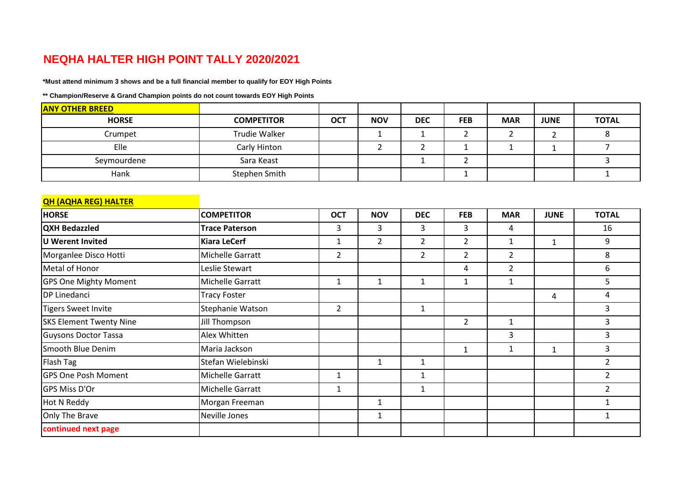## **NEQHA HALTER HIGH POINT TALLY 2020/2021**

**\*Must attend minimum 3 shows and be a full financial member to qualify for EOY High Points**

**\*\* Champion/Reserve & Grand Champion points do not count towards EOY High Points**

| <b>ANY OTHER BREED</b> |                   |            |            |            |            |            |             |              |
|------------------------|-------------------|------------|------------|------------|------------|------------|-------------|--------------|
| <b>HORSE</b>           | <b>COMPETITOR</b> | <b>OCT</b> | <b>NOV</b> | <b>DEC</b> | <b>FEB</b> | <b>MAR</b> | <b>JUNE</b> | <b>TOTAL</b> |
| Crumpet                | Trudie Walker     |            |            |            |            |            |             |              |
| Elle                   | Carly Hinton      |            |            |            |            |            |             |              |
| Seymourdene            | Sara Keast        |            |            |            |            |            |             |              |
| Hank                   | Stephen Smith     |            |            |            |            |            |             |              |

| <b>QH (AQHA REG) HALTER</b>    |                       |              |                |                |                |                |             |                |
|--------------------------------|-----------------------|--------------|----------------|----------------|----------------|----------------|-------------|----------------|
| <b>HORSE</b>                   | <b>COMPETITOR</b>     | <b>OCT</b>   | <b>NOV</b>     | <b>DEC</b>     | <b>FEB</b>     | <b>MAR</b>     | <b>JUNE</b> | <b>TOTAL</b>   |
| <b>QXH Bedazzled</b>           | <b>Trace Paterson</b> | 3            | 3              | 3              | 3              | 4              |             | 16             |
| U Werent Invited               | <b>Kiara LeCerf</b>   | 1            | $\overline{2}$ | $\overline{2}$ | $\overline{2}$ | $\mathbf{1}$   | 1           | 9              |
| Morganlee Disco Hotti          | Michelle Garratt      | 2            |                | $\overline{2}$ | $\overline{2}$ | $\overline{2}$ |             | 8              |
| Metal of Honor                 | Leslie Stewart        |              |                |                | 4              | $\overline{2}$ |             | 6              |
| <b>GPS One Mighty Moment</b>   | Michelle Garratt      | 1            | 1              | $\mathbf{1}$   |                | 1              |             | 5              |
| <b>DP Linedanci</b>            | <b>Tracy Foster</b>   |              |                |                |                |                | 4           | 4              |
| <b>Tigers Sweet Invite</b>     | Stephanie Watson      | 2            |                | $\mathbf 1$    |                |                |             | 3              |
| <b>SKS Element Twenty Nine</b> | Jill Thompson         |              |                |                | $\overline{2}$ | $\mathbf{1}$   |             | 3              |
| <b>Guysons Doctor Tassa</b>    | Alex Whitten          |              |                |                |                | 3              |             | 3              |
| Smooth Blue Denim              | Maria Jackson         |              |                |                | $\mathbf{1}$   | $\mathbf 1$    | 1           | 3              |
| Flash Tag                      | Stefan Wielebinski    |              | $\mathbf{1}$   | 1              |                |                |             | $\overline{2}$ |
| <b>GPS One Posh Moment</b>     | Michelle Garratt      | 1            |                | 1              |                |                |             | $\overline{2}$ |
| GPS Miss D'Or                  | Michelle Garratt      | $\mathbf{1}$ |                | $\mathbf 1$    |                |                |             | $\overline{2}$ |
| Hot N Reddy                    | Morgan Freeman        |              | 1              |                |                |                |             | $\mathbf{1}$   |
| Only The Brave                 | Neville Jones         |              | 1              |                |                |                |             | $\mathbf{1}$   |
| continued next page            |                       |              |                |                |                |                |             |                |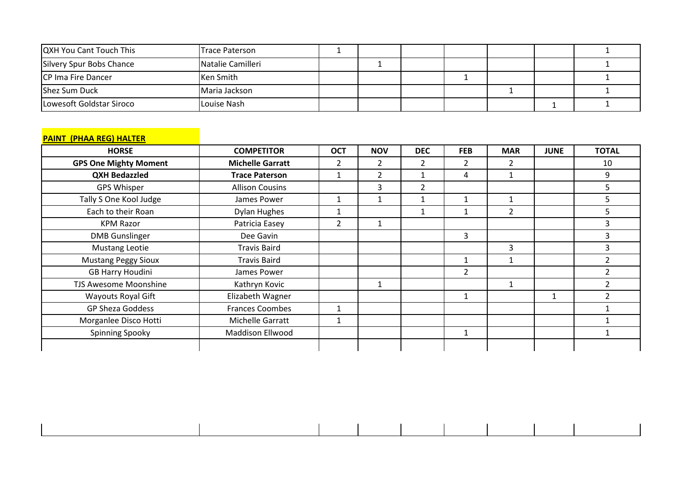| <b>QXH You Cant Touch This</b> | <b>Trace Paterson</b> |  |  |  |  |
|--------------------------------|-----------------------|--|--|--|--|
| Silvery Spur Bobs Chance       | Natalie Camilleri     |  |  |  |  |
| <b>CP Ima Fire Dancer</b>      | Ken Smith             |  |  |  |  |
| Shez Sum Duck                  | Maria Jackson         |  |  |  |  |
| Lowesoft Goldstar Siroco       | Louise Nash           |  |  |  |  |

## **PAINT (PHAA REG) HALTER**

| <b>HORSE</b>                 | <b>COMPETITOR</b>       | <b>OCT</b> | <b>NOV</b>     | <b>DEC</b>     | <b>FEB</b>     | <b>MAR</b>               | <b>JUNE</b> | <b>TOTAL</b>   |
|------------------------------|-------------------------|------------|----------------|----------------|----------------|--------------------------|-------------|----------------|
| <b>GPS One Mighty Moment</b> | <b>Michelle Garratt</b> | 2          | $\mathcal{P}$  | $\overline{2}$ | 2              | $\overline{\phantom{a}}$ |             | 10             |
| <b>QXH Bedazzled</b>         | <b>Trace Paterson</b>   |            | $\overline{2}$ |                | 4              | 1                        |             | 9              |
| <b>GPS Whisper</b>           | <b>Allison Cousins</b>  |            | 3              | 2              |                |                          |             | 5              |
| Tally S One Kool Judge       | James Power             |            |                |                | 1              |                          |             | 5              |
| Each to their Roan           | <b>Dylan Hughes</b>     |            |                |                | 1              | $\overline{2}$           |             | 5              |
| <b>KPM Razor</b>             | Patricia Easey          | 2          |                |                |                |                          |             | 3              |
| <b>DMB</b> Gunslinger        | Dee Gavin               |            |                |                | 3              |                          |             |                |
| <b>Mustang Leotie</b>        | <b>Travis Baird</b>     |            |                |                |                | 3                        |             | 3              |
| <b>Mustang Peggy Sioux</b>   | <b>Travis Baird</b>     |            |                |                | 1              |                          |             | $\overline{2}$ |
| <b>GB Harry Houdini</b>      | James Power             |            |                |                | $\overline{2}$ |                          |             | $\overline{2}$ |
| TJS Awesome Moonshine        | Kathryn Kovic           |            |                |                |                |                          |             | 2              |
| <b>Wayouts Royal Gift</b>    | Elizabeth Wagner        |            |                |                | $\mathbf{1}$   |                          | 1           | $\mathcal{P}$  |
| GP Sheza Goddess             | Frances Coombes         |            |                |                |                |                          |             |                |
| Morganlee Disco Hotti        | Michelle Garratt        |            |                |                |                |                          |             |                |
| Spinning Spooky              | <b>Maddison Ellwood</b> |            |                |                | $\mathbf 1$    |                          |             |                |
|                              |                         |            |                |                |                |                          |             |                |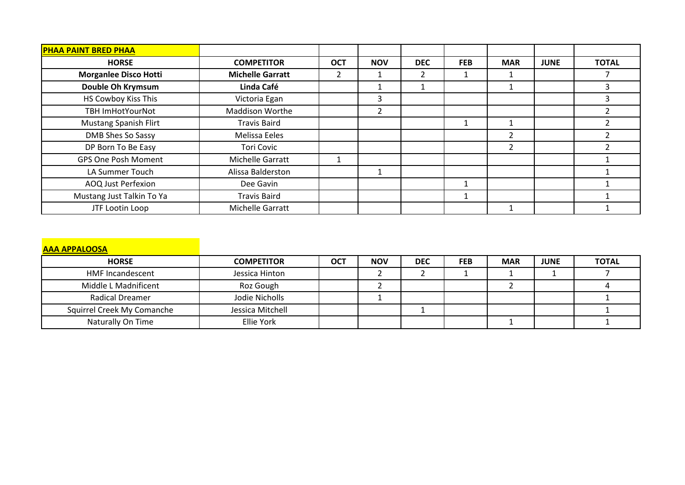| <b>PHAA PAINT BRED PHAA</b>  |                         |            |            |            |            |               |             |              |
|------------------------------|-------------------------|------------|------------|------------|------------|---------------|-------------|--------------|
| <b>HORSE</b>                 | <b>COMPETITOR</b>       | <b>OCT</b> | <b>NOV</b> | <b>DEC</b> | <b>FEB</b> | <b>MAR</b>    | <b>JUNE</b> | <b>TOTAL</b> |
| <b>Morganlee Disco Hotti</b> | <b>Michelle Garratt</b> |            |            | 2          |            |               |             |              |
| Double Oh Krymsum            | Linda Café              |            |            |            |            |               |             | 3            |
| HS Cowboy Kiss This          | Victoria Egan           |            | 3          |            |            |               |             | 3            |
| <b>TBH ImHotYourNot</b>      | <b>Maddison Worthe</b>  |            | 2          |            |            |               |             |              |
| <b>Mustang Spanish Flirt</b> | <b>Travis Baird</b>     |            |            |            |            |               |             |              |
| DMB Shes So Sassy            | Melissa Eeles           |            |            |            |            | 2             |             |              |
| DP Born To Be Easy           | <b>Tori Covic</b>       |            |            |            |            | $\mathcal{P}$ |             |              |
| <b>GPS One Posh Moment</b>   | Michelle Garratt        |            |            |            |            |               |             |              |
| LA Summer Touch              | Alissa Balderston       |            |            |            |            |               |             |              |
| AOQ Just Perfexion           | Dee Gavin               |            |            |            |            |               |             |              |
| Mustang Just Talkin To Ya    | <b>Travis Baird</b>     |            |            |            |            |               |             |              |
| JTF Lootin Loop              | Michelle Garratt        |            |            |            |            |               |             |              |

| <b>AAA APPALOOSA</b>       |                   |            |            |            |            |            |             |              |
|----------------------------|-------------------|------------|------------|------------|------------|------------|-------------|--------------|
| <b>HORSE</b>               | <b>COMPETITOR</b> | <b>OCT</b> | <b>NOV</b> | <b>DEC</b> | <b>FEB</b> | <b>MAR</b> | <b>JUNE</b> | <b>TOTAL</b> |
| <b>HMF Incandescent</b>    | Jessica Hinton    |            |            |            |            |            |             |              |
| Middle L Madnificent       | Roz Gough         |            |            |            |            |            |             |              |
| <b>Radical Dreamer</b>     | Jodie Nicholls    |            |            |            |            |            |             |              |
| Squirrel Creek My Comanche | Jessica Mitchell  |            |            |            |            |            |             |              |
| Naturally On Time          | Ellie York        |            |            |            |            |            |             |              |
|                            |                   |            |            |            |            |            |             |              |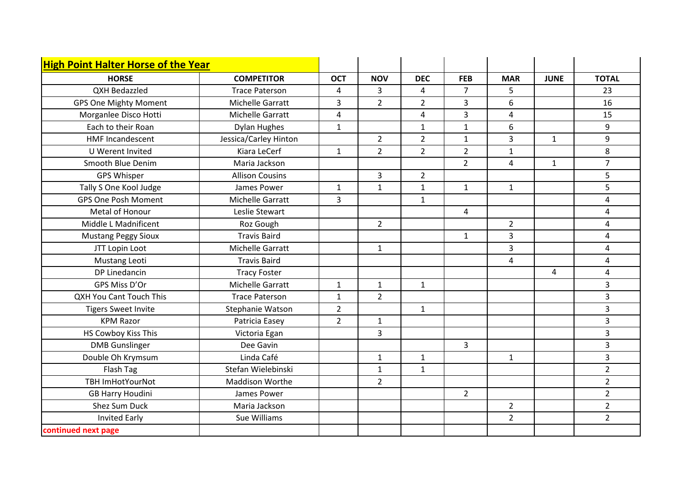| <b>High Point Halter Horse of the Year</b> |                        |                |                |                |                |                |                |                         |
|--------------------------------------------|------------------------|----------------|----------------|----------------|----------------|----------------|----------------|-------------------------|
| <b>HORSE</b>                               | <b>COMPETITOR</b>      | <b>OCT</b>     | <b>NOV</b>     | <b>DEC</b>     | <b>FEB</b>     | <b>MAR</b>     | <b>JUNE</b>    | <b>TOTAL</b>            |
| QXH Bedazzled                              | <b>Trace Paterson</b>  | 4              | $\overline{3}$ | 4              | $\overline{7}$ | 5              |                | 23                      |
| <b>GPS One Mighty Moment</b>               | Michelle Garratt       | 3              | $\overline{2}$ | $\overline{2}$ | 3              | 6              |                | 16                      |
| Morganlee Disco Hotti                      | Michelle Garratt       | 4              |                | 4              | $\overline{3}$ | 4              |                | 15                      |
| Each to their Roan                         | <b>Dylan Hughes</b>    | $\mathbf{1}$   |                | $\mathbf{1}$   | $\mathbf{1}$   | 6              |                | 9                       |
| <b>HMF Incandescent</b>                    | Jessica/Carley Hinton  |                | $\overline{2}$ | $\overline{2}$ | $\mathbf{1}$   | 3              | $\mathbf{1}$   | 9                       |
| U Werent Invited                           | Kiara LeCerf           | $\mathbf{1}$   | $\overline{2}$ | $\overline{2}$ | $\overline{2}$ | $\mathbf{1}$   |                | 8                       |
| Smooth Blue Denim                          | Maria Jackson          |                |                |                | $\overline{2}$ | 4              | $\mathbf{1}$   | $\overline{7}$          |
| <b>GPS Whisper</b>                         | <b>Allison Cousins</b> |                | $\overline{3}$ | $\overline{2}$ |                |                |                | 5                       |
| Tally S One Kool Judge                     | James Power            | $\mathbf{1}$   | $\mathbf{1}$   | $\mathbf{1}$   | $\mathbf{1}$   | $\mathbf{1}$   |                | 5                       |
| <b>GPS One Posh Moment</b>                 | Michelle Garratt       | 3              |                | $\mathbf{1}$   |                |                |                | $\overline{4}$          |
| Metal of Honour                            | Leslie Stewart         |                |                |                | 4              |                |                | $\overline{4}$          |
| Middle L Madnificent                       | Roz Gough              |                | $\overline{2}$ |                |                | $\overline{2}$ |                | $\overline{\mathbf{4}}$ |
| <b>Mustang Peggy Sioux</b>                 | <b>Travis Baird</b>    |                |                |                | $\mathbf{1}$   | 3              |                | 4                       |
| JTT Lopin Loot                             | Michelle Garratt       |                | $\mathbf{1}$   |                |                | 3              |                | 4                       |
| Mustang Leoti                              | <b>Travis Baird</b>    |                |                |                |                | 4              |                | $\overline{4}$          |
| DP Linedancin                              | <b>Tracy Foster</b>    |                |                |                |                |                | $\overline{4}$ | $\pmb{4}$               |
| GPS Miss D'Or                              | Michelle Garratt       | $\mathbf{1}$   | $\mathbf{1}$   | $\mathbf{1}$   |                |                |                | 3                       |
| QXH You Cant Touch This                    | <b>Trace Paterson</b>  | $\mathbf{1}$   | $\overline{2}$ |                |                |                |                | 3                       |
| <b>Tigers Sweet Invite</b>                 | Stephanie Watson       | $\overline{2}$ |                | $\mathbf{1}$   |                |                |                | 3                       |
| <b>KPM Razor</b>                           | Patricia Easey         | $\overline{2}$ | $\mathbf{1}$   |                |                |                |                | 3                       |
| HS Cowboy Kiss This                        | Victoria Egan          |                | 3              |                |                |                |                | 3                       |
| <b>DMB</b> Gunslinger                      | Dee Gavin              |                |                |                | $\overline{3}$ |                |                | 3                       |
| Double Oh Krymsum                          | Linda Café             |                | $\mathbf{1}$   | $\mathbf{1}$   |                | $\mathbf{1}$   |                | 3                       |
| Flash Tag                                  | Stefan Wielebinski     |                | $\mathbf{1}$   | $\mathbf{1}$   |                |                |                | $\overline{2}$          |
| <b>TBH ImHotYourNot</b>                    | Maddison Worthe        |                | $\overline{2}$ |                |                |                |                | $\overline{2}$          |
| <b>GB Harry Houdini</b>                    | James Power            |                |                |                | $\overline{2}$ |                |                | $\overline{2}$          |
| Shez Sum Duck                              | Maria Jackson          |                |                |                |                | $\overline{2}$ |                | $\overline{2}$          |
| <b>Invited Early</b>                       | Sue Williams           |                |                |                |                | $\overline{2}$ |                | $\overline{2}$          |
| continued next page                        |                        |                |                |                |                |                |                |                         |